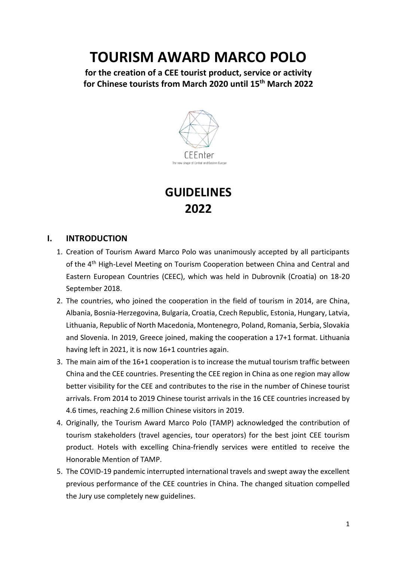# **TOURISM AWARD MARCO POLO**

**for the creation of a CEE tourist product, service or activity for Chinese tourists from March 2020 until 15th March 2022**



# **GUIDELINES 2022**

#### **I. INTRODUCTION**

- 1. Creation of Tourism Award Marco Polo was unanimously accepted by all participants of the 4<sup>th</sup> High-Level Meeting on Tourism Cooperation between China and Central and Eastern European Countries (CEEC), which was held in Dubrovnik (Croatia) on 18-20 September 2018.
- 2. The countries, who joined the cooperation in the field of tourism in 2014, are China, Albania, Bosnia-Herzegovina, Bulgaria, Croatia, Czech Republic, Estonia, Hungary, Latvia, Lithuania, Republic of North Macedonia, Montenegro, Poland, Romania, Serbia, Slovakia and Slovenia. In 2019, Greece joined, making the cooperation a 17+1 format. Lithuania having left in 2021, it is now 16+1 countries again.
- 3. The main aim of the 16+1 cooperation is to increase the mutual tourism traffic between China and the CEE countries. Presenting the CEE region in China as one region may allow better visibility for the CEE and contributes to the rise in the number of Chinese tourist arrivals. From 2014 to 2019 Chinese tourist arrivals in the 16 CEE countries increased by 4.6 times, reaching 2.6 million Chinese visitors in 2019.
- 4. Originally, the Tourism Award Marco Polo (TAMP) acknowledged the contribution of tourism stakeholders (travel agencies, tour operators) for the best joint CEE tourism product. Hotels with excelling China-friendly services were entitled to receive the Honorable Mention of TAMP.
- 5. The COVID-19 pandemic interrupted international travels and swept away the excellent previous performance of the CEE countries in China. The changed situation compelled the Jury use completely new guidelines.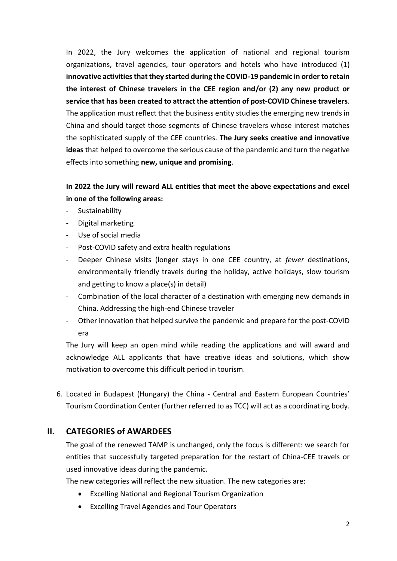In 2022, the Jury welcomes the application of national and regional tourism organizations, travel agencies, tour operators and hotels who have introduced (1) **innovative activities that they started during the COVID-19 pandemic in order to retain the interest of Chinese travelers in the CEE region and/or (2) any new product or service that has been created to attract the attention of post-COVID Chinese travelers**. The application must reflect that the business entity studies the emerging new trends in China and should target those segments of Chinese travelers whose interest matches the sophisticated supply of the CEE countries. **The Jury seeks creative and innovative ideas** that helped to overcome the serious cause of the pandemic and turn the negative effects into something **new, unique and promising**.

# **In 2022 the Jury will reward ALL entities that meet the above expectations and excel in one of the following areas:**

- **Sustainability**
- Digital marketing
- Use of social media
- Post-COVID safety and extra health regulations
- Deeper Chinese visits (longer stays in one CEE country, at *fewer* destinations, environmentally friendly travels during the holiday, active holidays, slow tourism and getting to know a place(s) in detail)
- Combination of the local character of a destination with emerging new demands in China. Addressing the high-end Chinese traveler
- Other innovation that helped survive the pandemic and prepare for the post-COVID era

The Jury will keep an open mind while reading the applications and will award and acknowledge ALL applicants that have creative ideas and solutions, which show motivation to overcome this difficult period in tourism.

6. Located in Budapest (Hungary) the China - Central and Eastern European Countries' Tourism Coordination Center (further referred to as TCC) will act as a coordinating body.

# **II. CATEGORIES of AWARDEES**

The goal of the renewed TAMP is unchanged, only the focus is different: we search for entities that successfully targeted preparation for the restart of China-CEE travels or used innovative ideas during the pandemic.

The new categories will reflect the new situation. The new categories are:

- Excelling National and Regional Tourism Organization
- Excelling Travel Agencies and Tour Operators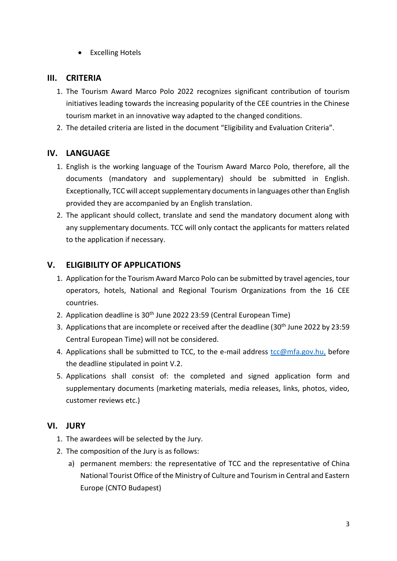• Excelling Hotels

#### **III. CRITERIA**

- 1. The Tourism Award Marco Polo 2022 recognizes significant contribution of tourism initiatives leading towards the increasing popularity of the CEE countries in the Chinese tourism market in an innovative way adapted to the changed conditions.
- 2. The detailed criteria are listed in the document "Eligibility and Evaluation Criteria".

# **IV. LANGUAGE**

- 1. English is the working language of the Tourism Award Marco Polo, therefore, all the documents (mandatory and supplementary) should be submitted in English. Exceptionally, TCC will accept supplementary documents in languages other than English provided they are accompanied by an English translation.
- 2. The applicant should collect, translate and send the mandatory document along with any supplementary documents. TCC will only contact the applicants for matters related to the application if necessary.

#### **V. ELIGIBILITY OF APPLICATIONS**

- 1. Application for the Tourism Award Marco Polo can be submitted by travel agencies, tour operators, hotels, National and Regional Tourism Organizations from the 16 CEE countries.
- 2. Application deadline is 30th June 2022 23:59 (Central European Time)
- 3. Applications that are incomplete or received after the deadline (30<sup>th</sup> June 2022 by 23:59 Central European Time) will not be considered.
- 4. Applications shall be submitted to TCC, to the e-mail address [tcc@mfa.gov.hu,](mailto:tcc@mfa.gov.hu) before the deadline stipulated in point V.2.
- 5. Applications shall consist of: the completed and signed application form and supplementary documents (marketing materials, media releases, links, photos, video, customer reviews etc.)

# **VI. JURY**

- 1. The awardees will be selected by the Jury.
- 2. The composition of the Jury is as follows:
	- a) permanent members: the representative of TCC and the representative of China National Tourist Office of the Ministry of Culture and Tourism in Central and Eastern Europe (CNTO Budapest)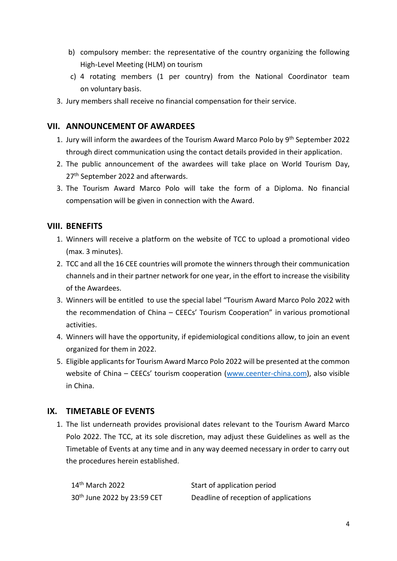- b) compulsory member: the representative of the country organizing the following High-Level Meeting (HLM) on tourism
- c) 4 rotating members (1 per country) from the National Coordinator team on voluntary basis.
- 3. Jury members shall receive no financial compensation for their service.

#### **VII. ANNOUNCEMENT OF AWARDEES**

- 1. Jury will inform the awardees of the Tourism Award Marco Polo by 9<sup>th</sup> September 2022 through direct communication using the contact details provided in their application.
- 2. The public announcement of the awardees will take place on World Tourism Day, 27<sup>th</sup> September 2022 and afterwards.
- 3. The Tourism Award Marco Polo will take the form of a Diploma. No financial compensation will be given in connection with the Award.

#### **VIII. BENEFITS**

- 1. Winners will receive a platform on the website of TCC to upload a promotional video (max. 3 minutes).
- 2. TCC and all the 16 CEE countries will promote the winners through their communication channels and in their partner network for one year, in the effort to increase the visibility of the Awardees.
- 3. Winners will be entitled to use the special label "Tourism Award Marco Polo 2022 with the recommendation of China – CEECs' Tourism Cooperation" in various promotional activities.
- 4. Winners will have the opportunity, if epidemiological conditions allow, to join an event organized for them in 2022.
- 5. Eligible applicants for Tourism Award Marco Polo 2022 will be presented at the common website of China – CEECs' tourism cooperation ([www.ceenter-china.com\)](http://www.ceenter-china.com/), also visible in China.

# **IX. TIMETABLE OF EVENTS**

1. The list underneath provides provisional dates relevant to the Tourism Award Marco Polo 2022. The TCC, at its sole discretion, may adjust these Guidelines as well as the Timetable of Events at any time and in any way deemed necessary in order to carry out the procedures herein established.

| 14 <sup>th</sup> March 2022             | Start of application period           |
|-----------------------------------------|---------------------------------------|
| 30 <sup>th</sup> June 2022 by 23:59 CET | Deadline of reception of applications |